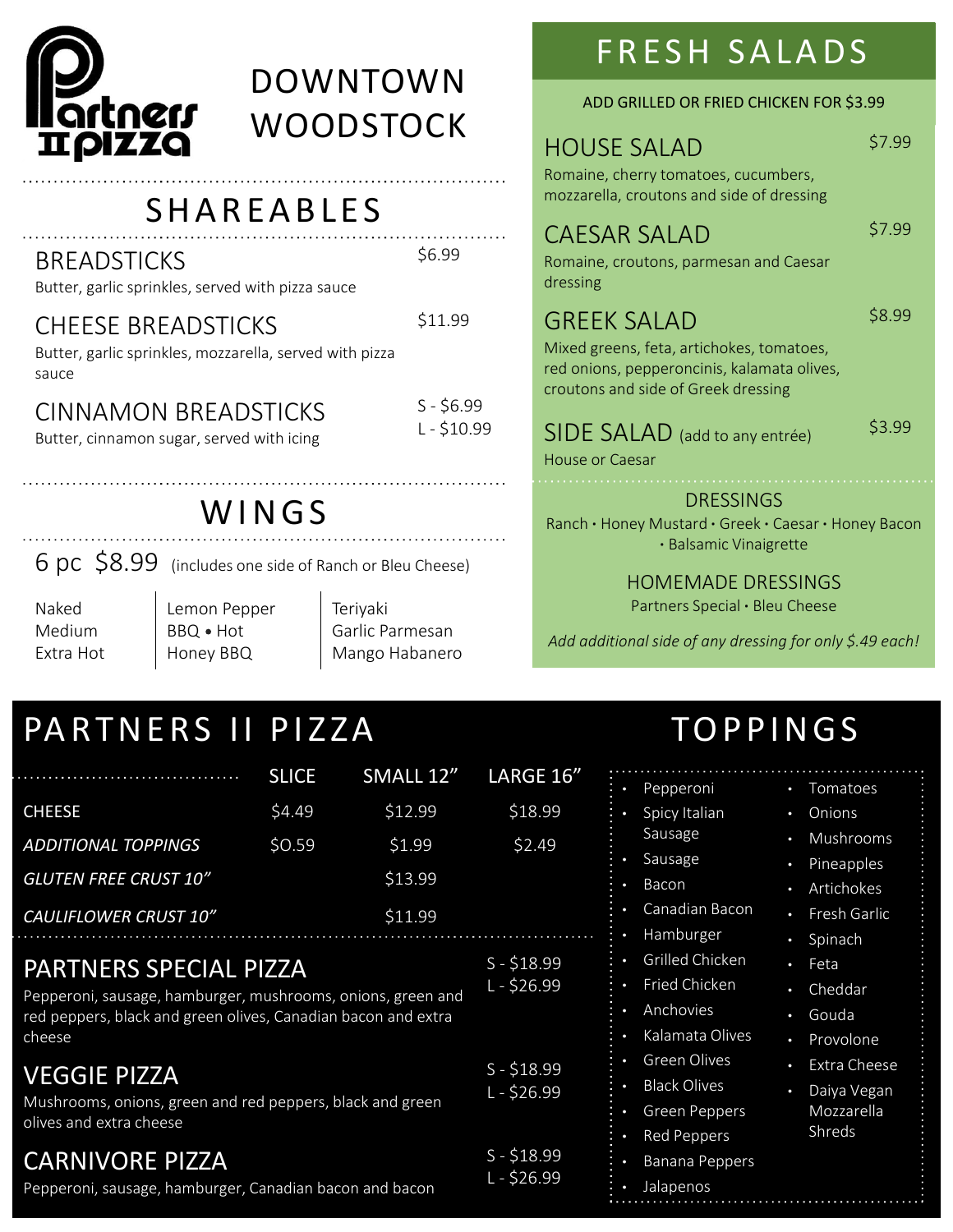

# EXECUTION FRESH SALADS<br>
SALAD ADD GRILLED OR FRIED CHICKEN FOR \$3.5<br>
SHAREABLES<br>
SHAREABLES<br>
SEAD SALAD<br>
SEADSTICKS<br>
SEADSTICKS<br>
SEADSTICKS<br>
SEADSTICKS<br>
SEADSTICKS<br>
STIPS<br>
SALAD<br>
SALAD<br>
SALAD<br>
SALAD<br>
SALAD<br>
SALAD<br>
SALAD<br>
R DOWNTOWN **WOODSTOCK**

### BREADSTICKS

Butter, garlic sprinkles, served with pizza sauce

### CHEESE BREADSTICKS
S11.99

# CINNAMON BREADSTICKS<br>E-\$10.99

| Butter, garlic sprinkles, mozzarella, served with pizza<br>sauce<br>$S - $6.99$<br><b>CINNAMON BREADSTICKS</b><br>$L - $10.99$<br>Butter, cinnamon sugar, served with icing<br>WINGS<br>6 pc \$8.99 (includes one side of Ranch or Bleu Cheese)<br>Naked<br>Lemon Pepper<br>Teriyaki<br>Medium<br>BBQ . Hot<br>Garlic Parmesan<br>Extra Hot<br>Honey BBQ<br>Mango Habanero                                                                                                          |                                  |                                                      |                                                                                                                                | Mixed greens, feta, artichokes, tomatoes,<br>red onions, pepperoncinis, kalamata olives,<br>croutons and side of Greek dressing<br>SIDE SALAD (add to any entrée)<br><b>House or Caesar</b>                                                                                                                                                                                                                                                                                                                                          | \$3.99 |
|-------------------------------------------------------------------------------------------------------------------------------------------------------------------------------------------------------------------------------------------------------------------------------------------------------------------------------------------------------------------------------------------------------------------------------------------------------------------------------------|----------------------------------|------------------------------------------------------|--------------------------------------------------------------------------------------------------------------------------------|--------------------------------------------------------------------------------------------------------------------------------------------------------------------------------------------------------------------------------------------------------------------------------------------------------------------------------------------------------------------------------------------------------------------------------------------------------------------------------------------------------------------------------------|--------|
|                                                                                                                                                                                                                                                                                                                                                                                                                                                                                     |                                  |                                                      |                                                                                                                                | <b>DRESSINGS</b><br>Ranch • Honey Mustard • Greek • Caesar • Honey Bacon<br>· Balsamic Vinaigrette<br><b>HOMEMADE DRESSINGS</b><br>Partners Special . Bleu Cheese<br>Add additional side of any dressing for only \$.49 each!                                                                                                                                                                                                                                                                                                        |        |
| PARTNERS II PIZZA<br><b>CHEESE</b><br>ADDITIONAL TOPPINGS<br><b>GLUTEN FREE CRUST 10"</b><br>CAULIFLOWER CRUST 10"<br>PARTNERS SPECIAL PIZZA<br>Pepperoni, sausage, hamburger, mushrooms, onions, green and<br>red peppers, black and green olives, Canadian bacon and extra<br>cheese<br>VEGGIE PIZZA<br>Mushrooms, onions, green and red peppers, black and green<br>olives and extra cheese<br><b>CARNIVORE PIZZA</b><br>Pepperoni, sausage, hamburger, Canadian bacon and bacon | <b>SLICE</b><br>\$4.49<br>\$0.59 | SMALL 12"<br>\$12.99<br>\$1.99<br>\$13.99<br>\$11.99 | LARGE 16"<br>\$18.99<br>\$2.49<br>$S - $18.99$<br>$L - $26.99$<br>$S - $18.99$<br>$L - $26.99$<br>$S - $18.99$<br>$L - $26.99$ | <b>TOPPINGS</b><br>• Pepperoni<br>• Tomatoes<br>Spicy Italian<br>• Onions<br>Sausage<br>• Mushrooms<br>Sausage<br>• Pineapples<br>Bacon<br>• Artichokes<br>Canadian Bacon<br>• Fresh Garlic<br>Hamburger<br>• Spinach<br>Grilled Chicken<br>• Feta<br>Fried Chicken<br>• Cheddar<br>Anchovies<br>· Gouda<br>Kalamata Olives<br>• Provolone<br>Green Olives<br>Extra Cheese<br>$\bullet$<br><b>Black Olives</b><br>• Daiya Vegan<br>Mozzarella<br><b>Green Peppers</b><br>Shreds<br>Red Peppers<br><b>Banana Peppers</b><br>Jalapenos |        |

# PARTNERS SPECIAL PIZZA<br>L-\$26.99

## VEGGIE PIZZA

# $CARNIVORE PIZZA$

# F R E S H S A L A D S<br>
CD GRILLED OR FRIED CHICKEN FOR \$3.99<br>
SE SALAD \$7.99

ADD GRILLED OR FRIED CHICKEN FOR \$3.99

Romaine, cherry tomatoes, cucumbers, mozzarella, croutons and side of dressing

# CAESAR SALAD

\$7.99

\$8.99

\$6.99 Romaine, croutons, parmesan and Caesar dressing

### \$11.99 GREEK SALAD

FRESH SALADS<br>
NOUSE SALAD<br>
ADD GRILLED OR FRIED CHICKEN FOR \$3.99<br>
HOUSE SALAD<br>
Romaine, cherry tomatoes, cucumbers,<br>
mozzarella, croutons and side of dressing<br>
CAESAR SALAD<br>
S6.99<br>
SALAD<br>
S6.99<br>
GREEK SALAD<br>
Mixed greens, FRESH SALAD<br>
NON ADD GRILLED OR FRIED CHICKEN FOR \$3.99<br>
HOUSE SALAD \$7.99<br>
HOUSE SALAD \$7.99<br>
monziarella, croutons and side of dressing<br>
CAESAR SALAD \$7.99<br>
\$6.99<br>
SALES SALAD \$8.99<br>
Mixed greens, feta, artichokes, tomat WUUDSIUCK<br>
REABLES<br>
MOUSE SALAD<br>
ROWING BEABLES<br>
SEADSTICKS<br>
SEADSTICKS<br>
SEADSTICKS<br>
SEADSTICKS<br>
SEADSTICKS<br>
SEADSTICKS<br>
SEADSTICKS<br>
SEADSTICKS<br>
SEADSTICKS<br>
SEADSTICKS<br>
SEADSTICKS<br>
SEADSTICKS<br>
SEADSTICKS<br>
SEADSTICKS<br>
SEADS Mixed greens, feta, artichokes, tomatoes, red onions, pepperoncinis, kalamata olives, croutons and side of Greek dressing

### SIDE SALAD (add to any entrée)

- 
- Canadian Bacon
- Hamburger
- Grilled Chicken Feta
- Fried Chicken
- **Anchovies**
- Kalamata Olives
- Green Olives
	-
- Green Peppers
	- **Red Peppers**
- Banana Peppers
- Jalapenos

- Sausage **•** Pineapples •
- Bacon Artichokes
	- Fresh Garlic
	- **Spinach**
	- Feta
	- Cheddar
	- Gouda
	- Provolone
	- Extra Cheese
- Black Olives Daiya Vegan Mozzarella Shreds